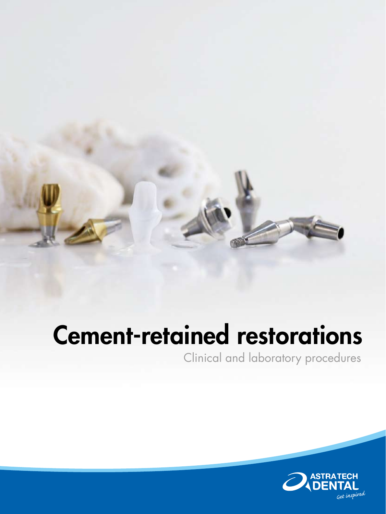# Cement-retained restorations

Clinical and laboratory procedures

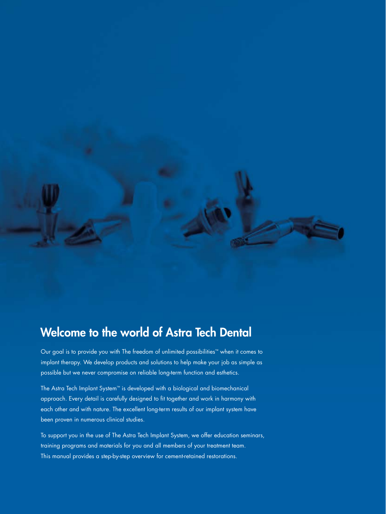

### Welcome to the world of Astra Tech Dental

Our goal is to provide you with The freedom of unlimited possibilities™ when it comes to implant therapy. We develop products and solutions to help make your job as simple as possible but we never compromise on reliable long-term function and esthetics.

The Astra Tech Implant System™ is developed with a biological and biomechanical approach. Every detail is carefully designed to fit together and work in harmony with each other and with nature. The excellent long-term results of our implant system have been proven in numerous clinical studies.

To support you in the use of The Astra Tech Implant System, we offer education seminars, training programs and materials for you and all members of your treatment team. This manual provides a step-by-step overview for cement-retained restorations.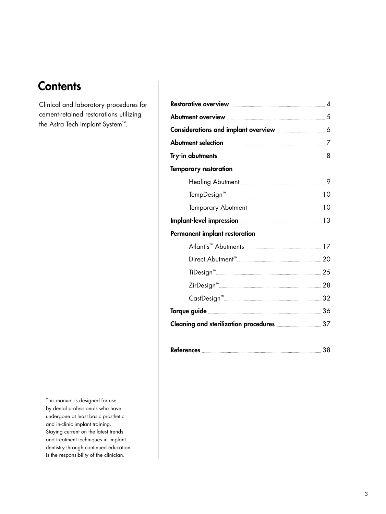### **Contents**

Clinical and laboratory procedures for cement-retained restorations utilizing the Astra Tech Implant System™.

This manual is designed for use by dental professionals who have undergone at least basic prosthetic and in-clinic implant training. Staying current on the latest trends and treatment techniques in implant dentistry through continued education is the responsibility of the clinician.

| Considerations and implant overview <b>manually considerations</b> 6 |  |
|----------------------------------------------------------------------|--|
| Abutment selection <b>Election</b> 7                                 |  |
| <b>Try-in abutments</b> 28                                           |  |
| <b>Temporary restoration</b>                                         |  |
|                                                                      |  |
|                                                                      |  |
|                                                                      |  |
| Implant-level impression <b>Election</b> 23                          |  |
| Permanent implant restoration                                        |  |
|                                                                      |  |
|                                                                      |  |
| TiDesign <sup>™</sup> 25                                             |  |
| ZirDesign <sup>™</sup> 28                                            |  |
|                                                                      |  |
|                                                                      |  |
| Cleaning and sterilization procedures <b>Manual</b> 37               |  |
|                                                                      |  |
|                                                                      |  |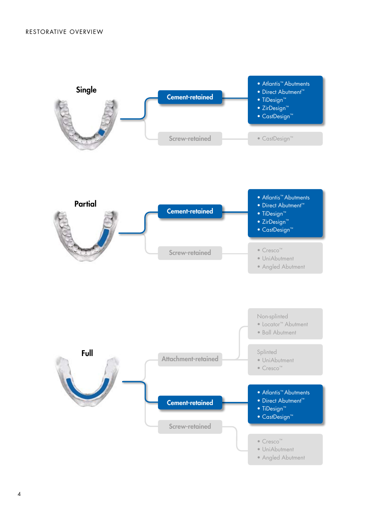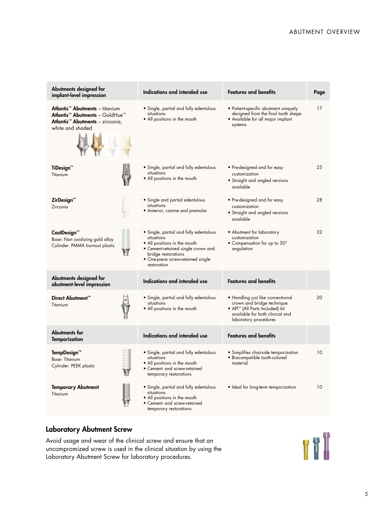#### Abutment OVERVIEW

| Abutments designed for<br>implant-level impression                                                                                                                | Indications and intended use                                                                                                                                                                          | <b>Features and benefits</b>                                                                                                                                               | Page |
|-------------------------------------------------------------------------------------------------------------------------------------------------------------------|-------------------------------------------------------------------------------------------------------------------------------------------------------------------------------------------------------|----------------------------------------------------------------------------------------------------------------------------------------------------------------------------|------|
| <b>Atlantis<sup>™</sup> Abutments</b> – titanium<br>Atlantis <sup>™</sup> Abutments - GoldHue™<br>Atlantis <sup>™</sup> Abutments - zirconia,<br>white and shaded | • Single, partial and fully edentulous<br>situations<br>• All positions in the mouth                                                                                                                  | • Patient-specific abutment uniquely<br>designed from the final tooth shape<br>• Available for all major implant<br>systems                                                | 17   |
| TiDesign™<br>Titanium                                                                                                                                             | • Single, partial and fully edentulous<br>situations<br>• All positions in the mouth                                                                                                                  | • Pre-designed and for easy<br>customization<br>• Straight and angled versions<br>available                                                                                | 25   |
| ZirDesign™<br>Zirconia                                                                                                                                            | • Single and partial edentulous<br>situations<br>• Anterior, canine and premolar                                                                                                                      | • Pre-designed and for easy<br>customization<br>• Straight and angled versions<br>available                                                                                | 28   |
| CastDesign™<br>Base: Non oxidizing gold alloy<br>Cylinder: PMMA burnout plastic                                                                                   | • Single, partial and fully edentulous<br>situations<br>• All positions in the mouth<br>• Cement-retained single crown and<br>bridge restorations<br>• One-piece screw-retained single<br>restoration | • Abutment for laboratory<br>customization<br>• Compensation for up to 30°<br>angulation                                                                                   | 32   |
| Abutments designed for<br>abutment-level impression                                                                                                               | Indications and intended use                                                                                                                                                                          | <b>Features and benefits</b>                                                                                                                                               |      |
| Direct Abutment™<br>Titanium                                                                                                                                      | • Single, partial and fully edentulous<br>situations<br>• All positions in the mouth                                                                                                                  | • Handling just like conventional<br>crown and bridge technique<br>• API <sup>™</sup> (All Parts Included) kit<br>available for both clinical and<br>laboratory procedures | 20   |
| Abutments for<br><b>Temporization</b>                                                                                                                             | Indications and intended use                                                                                                                                                                          | <b>Features and benefits</b>                                                                                                                                               |      |
| TempDesign™<br><b>Base: Titanium</b><br>Cylinder: PEEK plastic                                                                                                    | • Single, partial and fully edentulous<br>situations<br>• All positions in the mouth<br>• Cement- and screw-retained<br>temporary restorations                                                        | • Simplifies chairside temporization<br>· Biocompatible tooth-colored<br>material                                                                                          | 10   |
| <b>Temporary Abutment</b><br>Titanium                                                                                                                             | • Single, partial and fully edentulous<br>situations<br>• All positions in the mouth<br>• Cement- and screw-retained<br>temporary restorations                                                        | • Ideal for long-term temporization                                                                                                                                        | 10   |

#### Laboratory Abutment Screw

Avoid usage and wear of the clinical screw and ensure that an uncompromized screw is used in the clinical situation by using the Laboratory Abutment Screw for laboratory procedures.

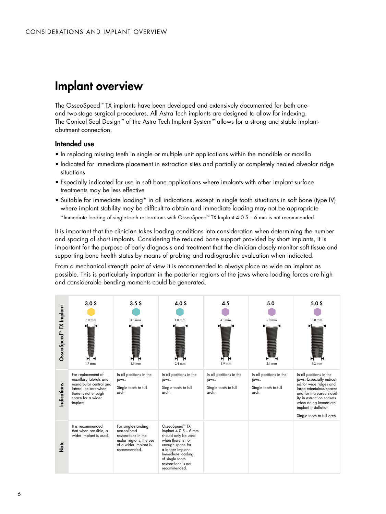### Implant overview

The OsseoSpeed™ TX implants have been developed and extensively documented for both oneand two-stage surgical procedures. All Astra Tech implants are designed to allow for indexing. The Conical Seal Design™ of the Astra Tech Implant System™ allows for a strong and stable implantabutment connection.

#### Intended use

- In replacing missing teeth in single or multiple unit applications within the mandible or maxilla
- Indicated for immediate placement in extraction sites and partially or completely healed alveolar ridge situations
- Especially indicated for use in soft bone applications where implants with other implant surface treatments may be less effective
- Suitable for immediate loading\* in all indications, except in single tooth situations in soft bone (type IV) where implant stability may be difficult to obtain and immediate loading may not be appropriate \*Immediate loading of single-tooth restorations with OsseoSpeed™ TX Implant 4.0 S – 6 mm is not recommended.

It is important that the clinician takes loading conditions into consideration when determining the number and spacing of short implants. Considering the reduced bone support provided by short implants, it is important for the purpose of early diagnosis and treatment that the clinician closely monitor soft tissue and supporting bone health status by means of probing and radiographic evaluation when indicated.

From a mechanical strength point of view it is recommended to always place as wide an implant as possible. This is particularly important in the posterior regions of the jaws where loading forces are high and considerable bending moments could be generated.

| OsseoSpeed <sup>"</sup> TX Implant | 3.0 <sub>S</sub><br>$3.0 \text{ mm}$<br>$1.7 \text{ mm}$                                                                                                | 3.5S<br>$3.5$ mm<br>$1.9$ mm                                                                                                   | 4.0 S<br>$4.0$ mm<br>$2.4 \text{ mm}$                                                                                                                                                                        | 4.5<br>$4.5$ mm<br>$1.9$ mm                                       | 5.0<br>5.0 <sub>mm</sub><br>$2.4 \text{ mm}$                      | 5.0S<br>$5.0 \text{ mm}$<br>$3.2 \text{ mm}$                                                                                                                                                                                                      |
|------------------------------------|---------------------------------------------------------------------------------------------------------------------------------------------------------|--------------------------------------------------------------------------------------------------------------------------------|--------------------------------------------------------------------------------------------------------------------------------------------------------------------------------------------------------------|-------------------------------------------------------------------|-------------------------------------------------------------------|---------------------------------------------------------------------------------------------------------------------------------------------------------------------------------------------------------------------------------------------------|
| ndications                         | For replacement of<br>maxillary laterals and<br>mandibular central and<br>lateral incisors when<br>there is not enough<br>space for a wider<br>implant. | In all positions in the<br>jaws.<br>Single tooth to full<br>arch.                                                              | In all positions in the<br>jaws.<br>Single tooth to full<br>arch.                                                                                                                                            | In all positions in the<br>jaws.<br>Single tooth to full<br>arch. | In all positions in the<br>jaws.<br>Single tooth to full<br>arch. | In all positions in the<br>jaws. Especially indicat-<br>ed for wide ridges and<br>large edentulous spaces<br>and for increased stabil-<br>ity in extraction sockets<br>when doing immediate<br>implant installation<br>Single tooth to full arch. |
| Note                               | It is recommended<br>that when possible, a<br>wider implant is used.                                                                                    | For single-standing,<br>non-splinted<br>restorations in the<br>molar regions, the use<br>of a wider implant is<br>recommended. | OsseoSpeed™ TX<br>Implant $4.0 S - 6$ mm<br>should only be used<br>when there is not<br>enough space for<br>a longer implant.<br>Immediate loading<br>of single tooth<br>restorations is not<br>recommended. |                                                                   |                                                                   |                                                                                                                                                                                                                                                   |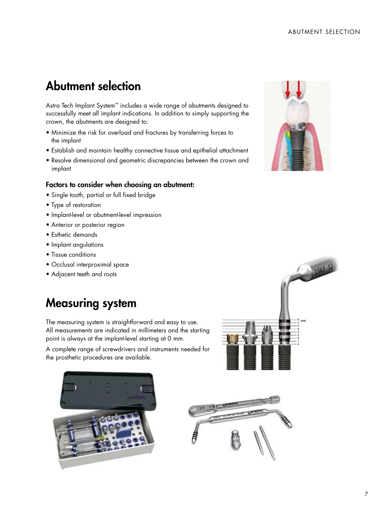### Abutment selection

Astra Tech Implant System™ includes a wide range of abutments designed to successfully meet all implant indications. In addition to simply supporting the crown, the abutments are designed to:

- Minimize the risk for overload and fractures by transferring forces to the implant
- Establish and maintain healthy connective tissue and epithelial attachment
- Resolve dimensional and geometric discrepancies between the crown and implant

#### Factors to consider when choosing an abutment:

- Single tooth, partial or full fixed bridge
- Type of restoration
- Implant-level or abutment-level impression
- Anterior or posterior region
- Esthetic demands
- Implant angulations
- Tissue conditions
- Occlusal interproximal space
- Adjacent teeth and roots

### Measuring system

The measuring system is straightforward and easy to use. All measurements are indicated in millimeters and the starting point is always at the implant-level starting at 0 mm.

A complete range of screwdrivers and instruments needed for the prosthetic procedures are available.







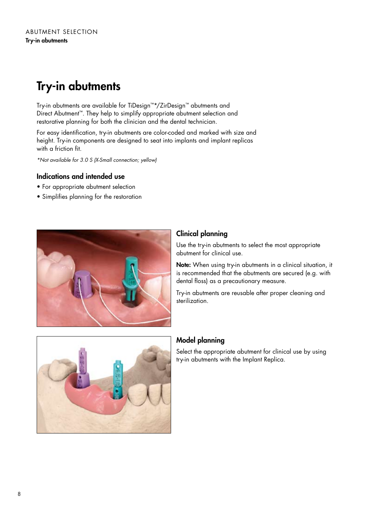### Try-in abutments

Try-in abutments are available for TiDesign™\*/ZirDesign™ abutments and Direct Abutment™. They help to simplify appropriate abutment selection and restorative planning for both the clinician and the dental technician.

For easy identification, try-in abutments are color-coded and marked with size and height. Try-in components are designed to seat into implants and implant replicas with a friction fit.

*\*Not available for 3.0 S (X-Small connection; yellow)*

#### Indications and intended use

- For appropriate abutment selection
- Simplifies planning for the restoration



#### Clinical planning

Use the try-in abutments to select the most appropriate abutment for clinical use.

Note: When using try-in abutments in a clinical situation, it is recommended that the abutments are secured (e.g. with dental floss) as a precautionary measure.

Try-in abutments are reusable after proper cleaning and sterilization.



#### Model planning

Select the appropriate abutment for clinical use by using try-in abutments with the Implant Replica.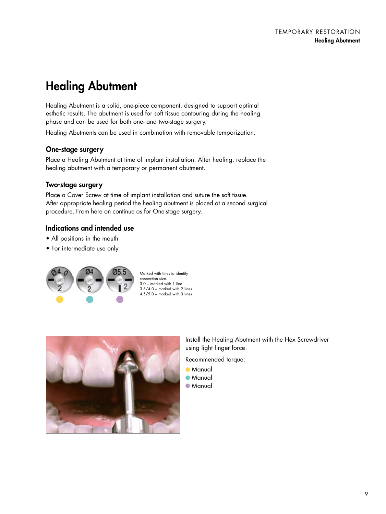### Healing Abutment

Healing Abutment is a solid, one-piece component, designed to support optimal esthetic results. The abutment is used for soft tissue contouring during the healing phase and can be used for both one- and two-stage surgery.

Healing Abutments can be used in combination with removable temporization.

#### One-stage surgery

Place a Healing Abutment at time of implant installation. After healing, replace the healing abutment with a temporary or permanent abutment.

#### Two-stage surgery

Place a Cover Screw at time of implant installation and suture the soft tissue. After appropriate healing period the healing abutment is placed at a second surgical procedure. From here on continue as for One-stage surgery.

#### Indications and intended use

- All positions in the mouth
- For intermediate use only



Marked with lines to identify connection size. 3.0 – marked with 1 line 3.5/4.0 – marked with 2 lines  $4.5/5.0$  – marked with 3 lines



Install the Healing Abutment with the Hex Screwdriver using light finger force.

Recommended torque:

- Manual
- Manual
- Manual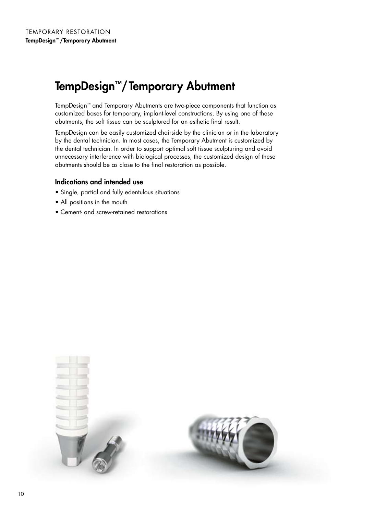### TempDesign™/Temporary Abutment

TempDesign™ and Temporary Abutments are two-piece components that function as customized bases for temporary, implant-level constructions. By using one of these abutments, the soft tissue can be sculptured for an esthetic final result.

TempDesign can be easily customized chairside by the clinician or in the laboratory by the dental technician. In most cases, the Temporary Abutment is customized by the dental technician. In order to support optimal soft tissue sculpturing and avoid unnecessary interference with biological processes, the customized design of these abutments should be as close to the final restoration as possible.

#### Indications and intended use

- Single, partial and fully edentulous situations
- All positions in the mouth
- Cement- and screw-retained restorations

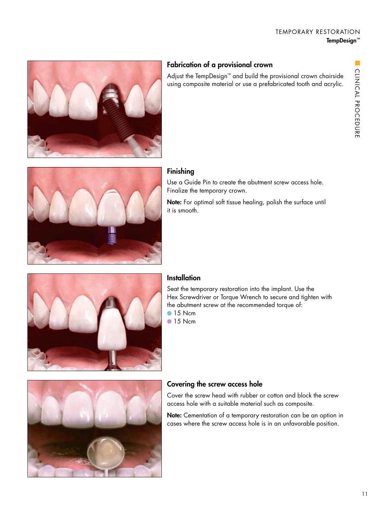#### Temporary Restoration TempDesign™



#### Fabrication of a provisional crown

Adjust the TempDesign™ and build the provisional crown chairside using composite material or use a prefabricated tooth and acrylic.



#### Finishing

Use a Guide Pin to create the abutment screw access hole. Finalize the temporary crown.

Note: For optimal soft tissue healing, polish the surface until it is smooth.



#### **Installation**

Seat the temporary restoration into the implant. Use the Hex Screwdriver or Torque Wrench to secure and tighten with the abutment screw at the recommended torque of:

• 15 Ncm

• 15 Ncm



#### Covering the screw access hole

Cover the screw head with rubber or cotton and block the screw access hole with a suitable material such as composite.

Note: Cementation of a temporary restoration can be an option in cases where the screw access hole is in an unfavorable position.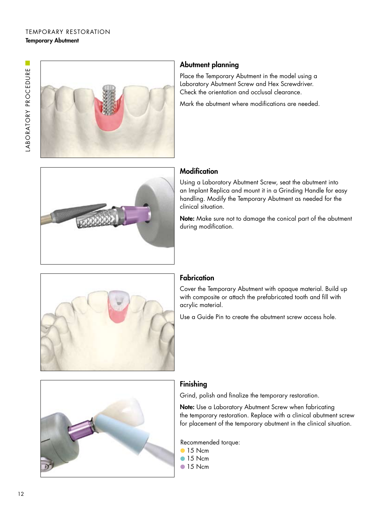

#### Abutment planning

Place the Temporary Abutment in the model using a Laboratory Abutment Screw and Hex Screwdriver. Check the orientation and occlusal clearance.

Mark the abutment where modifications are needed.



#### Modification

Using a Laboratory Abutment Screw, seat the abutment into an Implant Replica and mount it in a Grinding Handle for easy handling. Modify the Temporary Abutment as needed for the clinical situation.

Note: Make sure not to damage the conical part of the abutment during modification.



#### Fabrication

Cover the Temporary Abutment with opaque material. Build up with composite or attach the prefabricated tooth and fill with acrylic material.

Use a Guide Pin to create the abutment screw access hole.



### Finishing

Grind, polish and finalize the temporary restoration.

Note: Use a Laboratory Abutment Screw when fabricating the temporary restoration. Replace with a clinical abutment screw for placement of the temporary abutment in the clinical situation.

Recommended torque:

- 15 Ncm
- 15 Ncm
- 15 Ncm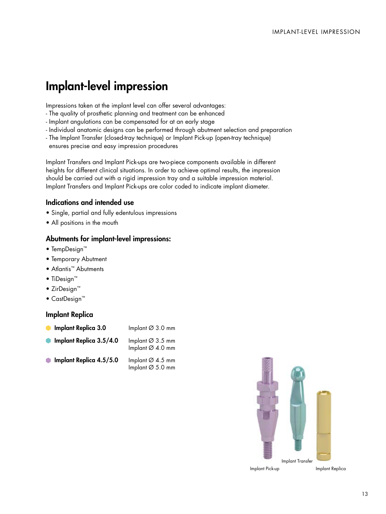### Implant-level impression

Impressions taken at the implant level can offer several advantages:

- The quality of prosthetic planning and treatment can be enhanced
- Implant angulations can be compensated for at an early stage
- Individual anatomic designs can be performed through abutment selection and preparation
- The Implant Transfer (closed-tray technique) or Implant Pick-up (open-tray technique)
- ensures precise and easy impression procedures

Implant Transfers and Implant Pick-ups are two-piece components available in different heights for different clinical situations. In order to achieve optimal results, the impression should be carried out with a rigid impression tray and a suitable impression material. Implant Transfers and Implant Pick-ups are color coded to indicate implant diameter.

#### Indications and intended use

- Single, partial and fully edentulous impressions
- All positions in the mouth

#### Abutments for implant-level impressions:

- TempDesign™
- Temporary Abutment
- Atlantis™ Abutments
- TiDesign™
- ZirDesign™
- CastDesign™

#### Implant Replica

| <b>Implant Replica 3.0</b> | Implant $\varnothing$ 3.0 mm                                 |
|----------------------------|--------------------------------------------------------------|
| Implant Replica 3.5/4.0    | Implant $\varnothing$ 3.5 mm<br>Implant $\varnothing$ 4.0 mm |
| Implant Replica 4.5/5.0    | Implant $\varnothing$ 4.5 mm<br>Implant $\varnothing$ 5.0 mm |

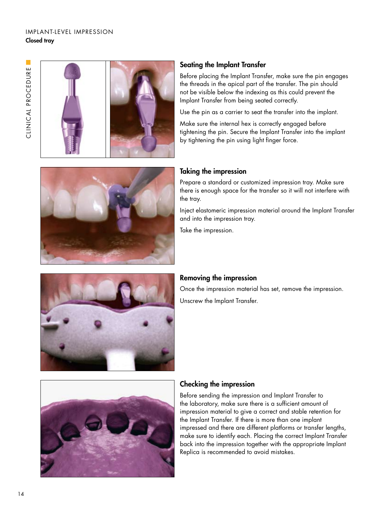#### Implant-Level Impression Closed tray



#### Seating the Implant Transfer

Before placing the Implant Transfer, make sure the pin engages the threads in the apical part of the transfer. The pin should not be visible below the indexing as this could prevent the Implant Transfer from being seated correctly.

Use the pin as a carrier to seat the transfer into the implant.

Make sure the internal hex is correctly engaged before tightening the pin. Secure the Implant Transfer into the implant by tightening the pin using light finger force.



#### Taking the impression

Prepare a standard or customized impression tray. Make sure there is enough space for the transfer so it will not interfere with the tray.

Inject elastomeric impression material around the Implant Transfer and into the impression tray.

Take the impression.



#### Removing the impression

Once the impression material has set, remove the impression. Unscrew the Implant Transfer.



#### Checking the impression

Before sending the impression and Implant Transfer to the laboratory, make sure there is a sufficient amount of impression material to give a correct and stable retention for the Implant Transfer. If there is more than one implant impressed and there are different platforms or transfer lengths, make sure to identify each. Placing the correct Implant Transfer back into the impression together with the appropriate Implant Replica is recommended to avoid mistakes.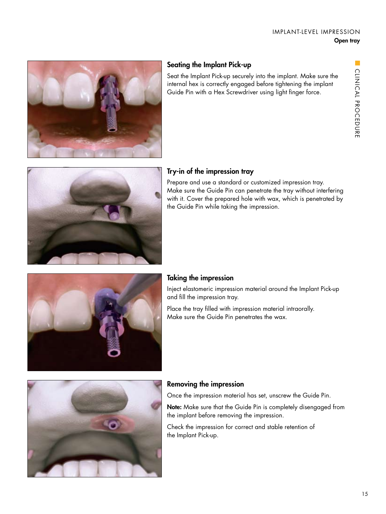#### Implant-Level Impression Open tray



#### Seating the Implant Pick-up

Seat the Implant Pick-up securely into the implant. Make sure the internal hex is correctly engaged before tightening the implant Guide Pin with a Hex Screwdriver using light finger force.



#### Try-in of the impression tray

Prepare and use a standard or customized impression tray. Make sure the Guide Pin can penetrate the tray without interfering with it. Cover the prepared hole with wax, which is penetrated by the Guide Pin while taking the impression.



#### Taking the impression

Inject elastomeric impression material around the Implant Pick-up and fill the impression tray.

Place the tray filled with impression material intraorally. Make sure the Guide Pin penetrates the wax.



#### Removing the impression

Once the impression material has set, unscrew the Guide Pin.

Note: Make sure that the Guide Pin is completely disengaged from the implant before removing the impression.

Check the impression for correct and stable retention of the Implant Pick-up.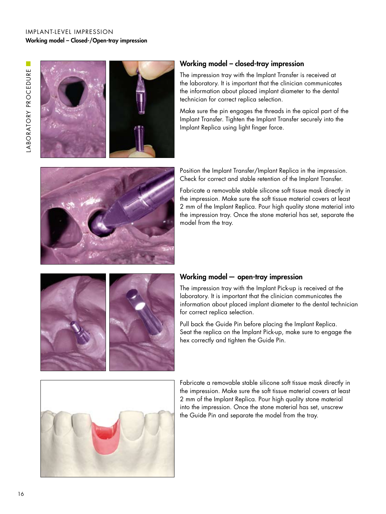#### Implant-level impression Working model – Closed-/Open-tray impression



#### Working model – closed-tray impression

The impression tray with the Implant Transfer is received at the laboratory. It is important that the clinician communicates the information about placed implant diameter to the dental technician for correct replica selection.

Make sure the pin engages the threads in the apical part of the Implant Transfer. Tighten the Implant Transfer securely into the Implant Replica using light finger force.



Position the Implant Transfer/Implant Replica in the impression. Check for correct and stable retention of the Implant Transfer.

Fabricate a removable stable silicone soft tissue mask directly in the impression. Make sure the soft tissue material covers at least 2 mm of the Implant Replica. Pour high quality stone material into the impression tray. Once the stone material has set, separate the model from the tray.



#### Working model— open-tray impression

The impression tray with the Implant Pick-up is received at the laboratory. It is important that the clinician communicates the information about placed implant diameter to the dental technician for correct replica selection.

Pull back the Guide Pin before placing the Implant Replica. Seat the replica on the Implant Pick-up, make sure to engage the hex correctly and tighten the Guide Pin.



Fabricate a removable stable silicone soft tissue mask directly in the impression. Make sure the soft tissue material covers at least 2 mm of the Implant Replica. Pour high quality stone material into the impression. Once the stone material has set, unscrew the Guide Pin and separate the model from the tray.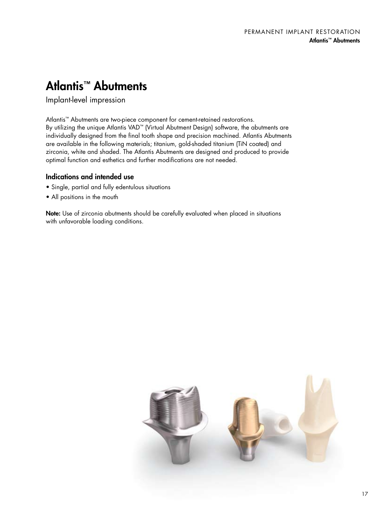### Atlantis™ Abutments

Implant-level impression

Atlantis™ Abutments are two-piece component for cement-retained restorations. By utilizing the unique Atlantis VAD™ (Virtual Abutment Design) software, the abutments are individually designed from the final tooth shape and precision machined. Atlantis Abutments are available in the following materials; titanium, gold-shaded titanium (TiN coated) and zirconia, white and shaded. The Atlantis Abutments are designed and produced to provide optimal function and esthetics and further modifications are not needed.

#### Indications and intended use

- Single, partial and fully edentulous situations
- All positions in the mouth

Note: Use of zirconia abutments should be carefully evaluated when placed in situations with unfavorable loading conditions.

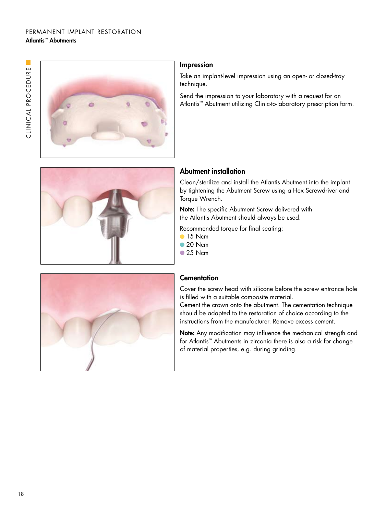#### Permanent implant restoration Atlantis™ Abutments



#### Impression

Take an implant-level impression using an open- or closed-tray technique.

Send the impression to your laboratory with a request for an Atlantis™ Abutment utilizing Clinic-to-laboratory prescription form.

# Abutment installation

Clean/sterilize and install the Atlantis Abutment into the implant by tightening the Abutment Screw using a Hex Screwdriver and Torque Wrench.

Note: The specific Abutment Screw delivered with the Atlantis Abutment should always be used.

Recommended torque for final seating:

- 15 Ncm
- 20 Ncm
- 25 Ncm



#### **Cementation**

Cover the screw head with silicone before the screw entrance hole is filled with a suitable composite material.

Cement the crown onto the abutment. The cementation technique should be adapted to the restoration of choice according to the instructions from the manufacturer. Remove excess cement.

Note: Any modification may influence the mechanical strength and for Atlantis™ Abutments in zirconia there is also a risk for change of material properties, e.g. during grinding.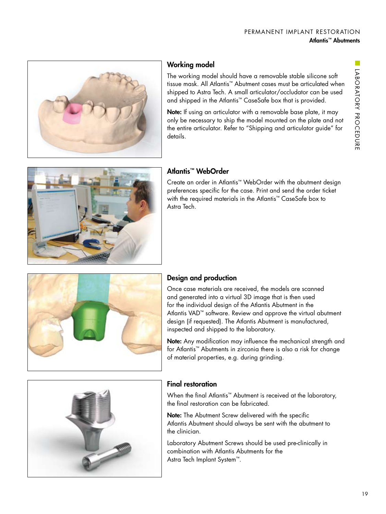

#### Working model

The working model should have a removable stable silicone soft tissue mask. All Atlantis™ Abutment cases must be articulated when shipped to Astra Tech. A small articulator/occludator can be used and shipped in the Atlantis™ CaseSafe box that is provided.

Note: If using an articulator with a removable base plate, it may only be necessary to ship the model mounted on the plate and not the entire articulator. Refer to "Shipping and articulator guide" for details.



#### Atlantis™ WebOrder

Create an order in Atlantis™ WebOrder with the abutment design preferences specific for the case. Print and send the order ticket with the required materials in the Atlantis™ CaseSafe box to Astra Tech.



#### Design and production

Once case materials are received, the models are scanned and generated into a virtual 3D image that is then used for the individual design of the Atlantis Abutment in the Atlantis VAD™ software. Review and approve the virtual abutment design (if requested). The Atlantis Abutment is manufactured, inspected and shipped to the laboratory.

Note: Any modification may influence the mechanical strength and for Atlantis™ Abutments in zirconia there is also a risk for change of material properties, e.g. during grinding.



#### Final restoration

When the final Atlantis<sup>™</sup> Abutment is received at the laboratory, the final restoration can be fabricated.

Note: The Abutment Screw delivered with the specific Atlantis Abutment should always be sent with the abutment to the clinician.

Laboratory Abutment Screws should be used pre-clinically in combination with Atlantis Abutments for the Astra Tech Implant System™.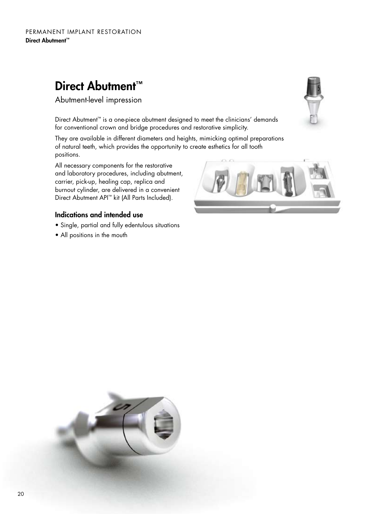### Direct Abutment<sup>™</sup>

Abutment-level impression

Direct Abutment™ is a one-piece abutment designed to meet the clinicians' demands for conventional crown and bridge procedures and restorative simplicity.

They are available in different diameters and heights, mimicking optimal preparations of natural teeth, which provides the opportunity to create esthetics for all tooth positions.

All necessary components for the restorative and laboratory procedures, including abutment, carrier, pick-up, healing cap, replica and burnout cylinder, are delivered in a convenient Direct Abutment API™ kit (All Parts Included).

#### Indications and intended use

- Single, partial and fully edentulous situations
- All positions in the mouth





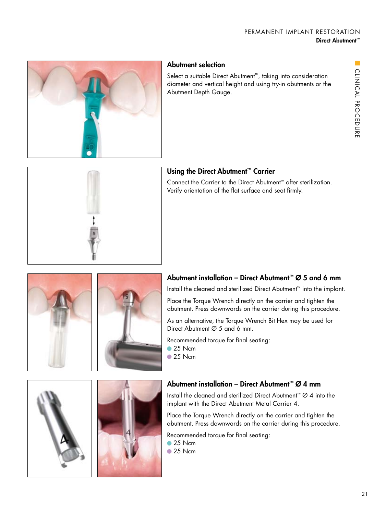

#### Abutment selection

Select a suitable Direct Abutment™, taking into consideration diameter and vertical height and using try-in abutments or the Abutment Depth Gauge.



#### Using the Direct Abutment™ Carrier

Connect the Carrier to the Direct Abutment™ after sterilization. Verify orientation of the flat surface and seat firmly.





#### Abutment installation – Direct Abutment™ Ø 5 and 6 mm

Install the cleaned and sterilized Direct Abutment™ into the implant.

Place the Torque Wrench directly on the carrier and tighten the abutment. Press downwards on the carrier during this procedure.

As an alternative, the Torque Wrench Bit Hex may be used for Direct Abutment  $\varnothing$  5 and 6 mm.

Recommended torque for final seating:

- 25 Ncm
- 25 Ncm





#### Abutment installation – Direct Abutment™ Ø 4 mm

Install the cleaned and sterilized Direct Abutment™ Ø 4 into the implant with the Direct Abutment Metal Carrier 4.

Place the Torque Wrench directly on the carrier and tighten the abutment. Press downwards on the carrier during this procedure.

Recommended torque for final seating:

- 25 Ncm
- 25 Ncm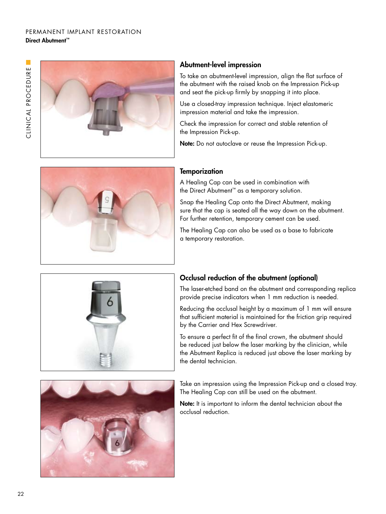#### permanent implant restoration Direct Abutment™



#### Abutment-level impression

To take an abutment-level impression, align the flat surface of the abutment with the raised knob on the Impression Pick-up and seat the pick-up firmly by snapping it into place.

Use a closed-tray impression technique. Inject elastomeric impression material and take the impression.

Check the impression for correct and stable retention of the Impression Pick-up.

Note: Do not autoclave or reuse the Impression Pick-up.



#### **Temporization**

A Healing Cap can be used in combination with the Direct Abutment™ as a temporary solution.

Snap the Healing Cap onto the Direct Abutment, making sure that the cap is seated all the way down on the abutment. For further retention, temporary cement can be used.

The Healing Cap can also be used as a base to fabricate a temporary restoration.



### Occlusal reduction of the abutment (optional)

The laser-etched band on the abutment and corresponding replica provide precise indicators when 1 mm reduction is needed.

Reducing the occlusal height by a maximum of 1 mm will ensure that sufficient material is maintained for the friction grip required by the Carrier and Hex Screwdriver.

To ensure a perfect fit of the final crown, the abutment should be reduced just below the laser marking by the clinician, while the Abutment Replica is reduced just above the laser marking by the dental technician.

Take an impression using the Impression Pick-up and a closed tray. The Healing Cap can still be used on the abutment.

Note: It is important to inform the dental technician about the occlusal reduction.

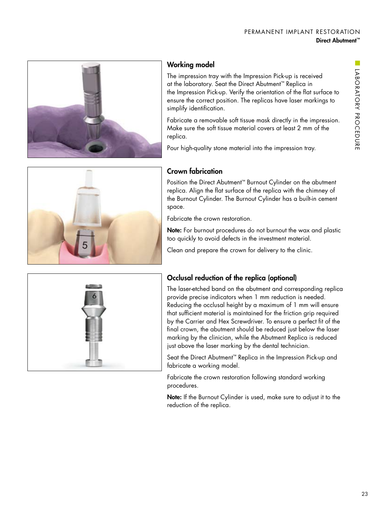

#### Working model

The impression tray with the Impression Pick-up is received at the laboratory. Seat the Direct Abutment™ Replica in the Impression Pick-up. Verify the orientation of the flat surface to ensure the correct position. The replicas have laser markings to simplify identification.

Fabricate a removable soft tissue mask directly in the impression. Make sure the soft tissue material covers at least 2 mm of the replica.

Pour high-quality stone material into the impression tray.



#### Crown fabrication

Position the Direct Abutment™ Burnout Cylinder on the abutment replica. Align the flat surface of the replica with the chimney of the Burnout Cylinder. The Burnout Cylinder has a built-in cement space.

Fabricate the crown restoration.

Note: For burnout procedures do not burnout the wax and plastic too quickly to avoid defects in the investment material.

Clean and prepare the crown for delivery to the clinic.



### Occlusal reduction of the replica (optional)

The laser-etched band on the abutment and corresponding replica provide precise indicators when 1 mm reduction is needed. Reducing the occlusal height by a maximum of 1 mm will ensure that sufficient material is maintained for the friction grip required by the Carrier and Hex Screwdriver. To ensure a perfect fit of the final crown, the abutment should be reduced just below the laser marking by the clinician, while the Abutment Replica is reduced just above the laser marking by the dental technician.

Seat the Direct Abutment<sup>™</sup> Replica in the Impression Pick-up and fabricate a working model.

Fabricate the crown restoration following standard working procedures.

Note: If the Burnout Cylinder is used, make sure to adjust it to the reduction of the replica.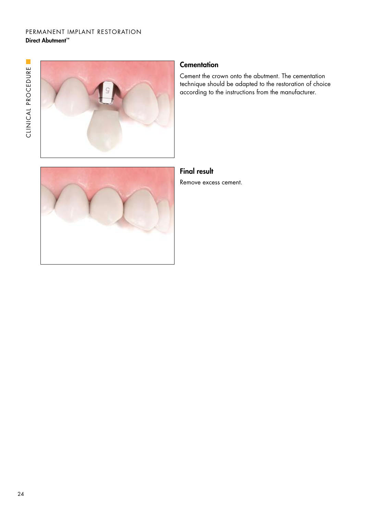#### permanent implant restoration Direct Abutment<sup>™</sup>



#### **Cementation**

Cement the crown onto the abutment. The cementation technique should be adapted to the restoration of choice according to the instructions from the manufacturer.



### Final result

Remove excess cement.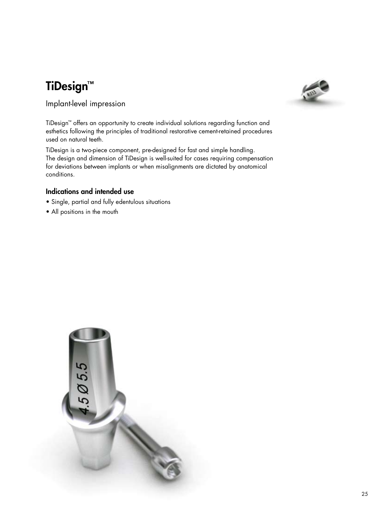### TiDesign™



Implant-level impression

TiDesign™ offers an opportunity to create individual solutions regarding function and esthetics following the principles of traditional restorative cement-retained procedures used on natural teeth.

TiDesign is a two-piece component, pre-designed for fast and simple handling. The design and dimension of TiDesign is well-suited for cases requiring compensation for deviations between implants or when misalignments are dictated by anatomical conditions.

#### Indications and intended use

- Single, partial and fully edentulous situations
- All positions in the mouth

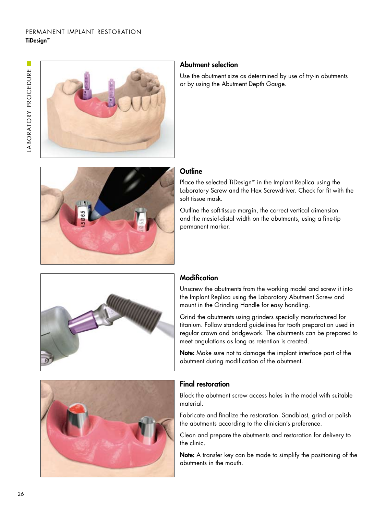#### Permanent implant restoration TiDesign™



#### Abutment selection

Use the abutment size as determined by use of try-in abutments or by using the Abutment Depth Gauge.



#### **Outline**

Place the selected TiDesign™ in the Implant Replica using the Laboratory Screw and the Hex Screwdriver. Check for fit with the soft tissue mask.

Outline the soft-tissue margin, the correct vertical dimension and the mesial-distal width on the abutments, using a fine-tip permanent marker.



#### **Modification**

Unscrew the abutments from the working model and screw it into the Implant Replica using the Laboratory Abutment Screw and mount in the Grinding Handle for easy handling.

Grind the abutments using grinders specially manufactured for titanium. Follow standard guidelines for tooth preparation used in regular crown and bridgework. The abutments can be prepared to meet angulations as long as retention is created.

Note: Make sure not to damage the implant interface part of the abutment during modification of the abutment.

#### Final restoration

Block the abutment screw access holes in the model with suitable material.

Fabricate and finalize the restoration. Sandblast, grind or polish the abutments according to the clinician's preference.

Clean and prepare the abutments and restoration for delivery to the clinic.

Note: A transfer key can be made to simplify the positioning of the abutments in the mouth.

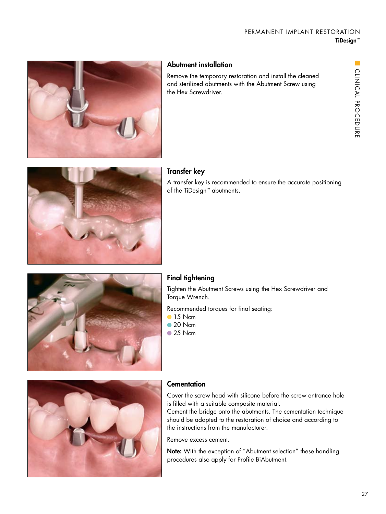

#### Abutment installation

Remove the temporary restoration and install the cleaned and sterilized abutments with the Abutment Screw using the Hex Screwdriver.



#### Transfer key

A transfer key is recommended to ensure the accurate positioning of the TiDesign™ abutments.



#### Final tightening

Tighten the Abutment Screws using the Hex Screwdriver and Torque Wrench.

Recommended torques for final seating:

- **15 Ncm**
- 20 Ncm
- 25 Ncm



#### **Cementation**

Cover the screw head with silicone before the screw entrance hole is filled with a suitable composite material.

Cement the bridge onto the abutments. The cementation technique should be adapted to the restoration of choice and according to the instructions from the manufacturer.

Remove excess cement.

Note: With the exception of "Abutment selection" these handling procedures also apply for Profile BiAbutment.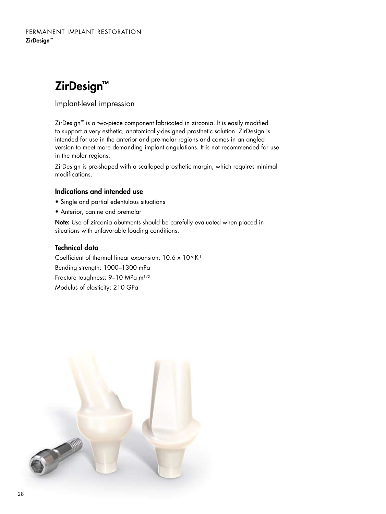### ZirDesign™

Implant-level impression

ZirDesign™ is a two-piece component fabricated in zirconia. It is easily modified to support a very esthetic, anatomically-designed prosthetic solution. ZirDesign is intended for use in the anterior and pre-molar regions and comes in an angled version to meet more demanding implant angulations. It is not recommended for use in the molar regions.

ZirDesign is pre-shaped with a scalloped prosthetic margin, which requires minimal modifications.

#### Indications and intended use

- Single and partial edentulous situations
- Anterior, canine and premolar

Note: Use of zirconia abutments should be carefully evaluated when placed in situations with unfavorable loading conditions.

#### Technical data

Coefficient of thermal linear expansion:  $10.6 \times 10^{6}$  K<sup>-1</sup> Bending strength: 1000–1300 mPa Fracture toughness: 9-10 MPa m<sup>1/2</sup> Modulus of elasticity: 210 GPa

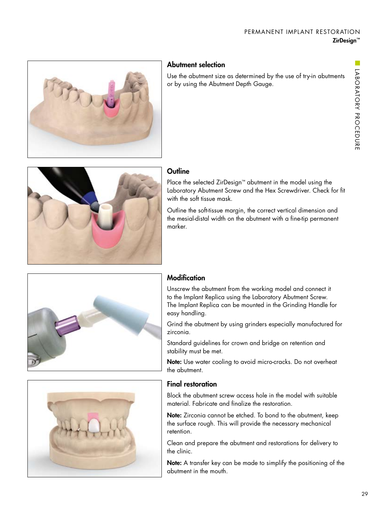

#### Abutment selection

Use the abutment size as determined by the use of try-in abutments or by using the Abutment Depth Gauge.



#### **Outline**

Place the selected ZirDesign™ abutment in the model using the Laboratory Abutment Screw and the Hex Screwdriver. Check for fit with the soft tissue mask.

Outline the soft-tissue margin, the correct vertical dimension and the mesial-distal width on the abutment with a fine-tip permanent marker.





#### **Modification**

Unscrew the abutment from the working model and connect it to the Implant Replica using the Laboratory Abutment Screw. The Implant Replica can be mounted in the Grinding Handle for easy handling.

Grind the abutment by using grinders especially manufactured for zirconia.

Standard guidelines for crown and bridge on retention and stability must be met.

Note: Use water cooling to avoid micro-cracks. Do not overheat the abutment.

#### Final restoration

Block the abutment screw access hole in the model with suitable material. Fabricate and finalize the restoration.

Note: Zirconia cannot be etched. To bond to the abutment, keep the surface rough. This will provide the necessary mechanical retention.

Clean and prepare the abutment and restorations for delivery to the clinic.

Note: A transfer key can be made to simplify the positioning of the abutment in the mouth.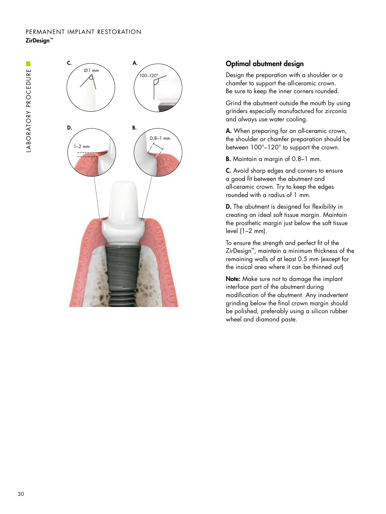#### permanent implant restoration ZirDesign™



#### Optimal abutment design

Design the preparation with a shoulder or a chamfer to support the all-ceramic crown. Be sure to keep the inner corners rounded.

Grind the abutment outside the mouth by using grinders especially manufactured for zirconia and always use water cooling.

A. When preparing for an all-ceramic crown, the shoulder or chamfer preparation should be between 100°–120° to support the crown.

B. Maintain a margin of 0.8–1 mm.

C. Avoid sharp edges and corners to ensure a good fit between the abutment and all-ceramic crown. Try to keep the edges rounded with a radius of 1 mm.

D. The abutment is designed for flexibility in creating an ideal soft tissue margin. Maintain the prosthetic margin just below the soft tissue level (1–2 mm).

To ensure the strength and perfect fit of the ZirDesign™, maintain a minimum thickness of the remaining walls of at least 0.5 mm (except for the insical area where it can be thinned out)

Note: Make sure not to damage the implant interface part of the abutment during modification of the abutment. Any inadvertent grinding below the final crown margin should be polished, preferably using a silicon rubber wheel and diamond paste.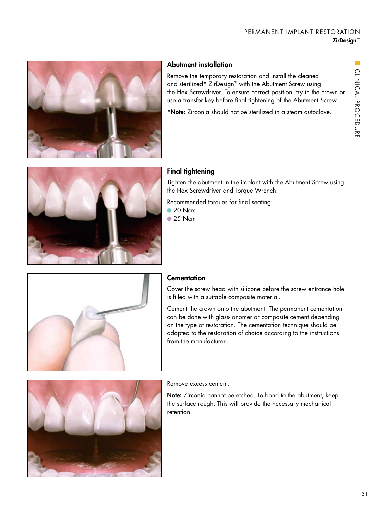

#### Abutment installation

Remove the temporary restoration and install the cleaned and sterilized\* ZirDesign™ with the Abutment Screw using the Hex Screwdriver. To ensure correct position, try in the crown or use a transfer key before final tightening of the Abutment Screw.

\*Note: Zirconia should not be sterilized in a steam autoclave.



### Final tightening

Tighten the abutment in the implant with the Abutment Screw using the Hex Screwdriver and Torque Wrench.

Recommended torques for final seating:

- 20 Ncm
	- 25 Ncm



#### **Cementation**

Cover the screw head with silicone before the screw entrance hole is filled with a suitable composite material.

Cement the crown onto the abutment. The permanent cementation can be done with glass-ionomer or composite cement depending on the type of restoration. The cementation technique should be adapted to the restoration of choice according to the instructions from the manufacturer.



#### Remove excess cement.

Note: Zirconia cannot be etched. To bond to the abutment, keep the surface rough. This will provide the necessary mechanical retention.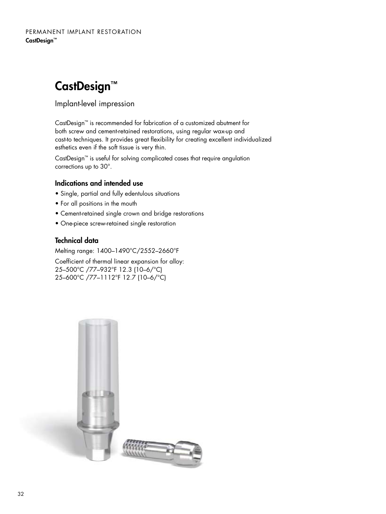### CastDesign<sup>™</sup>

Implant-level impression

CastDesign™ is recommended for fabrication of a customized abutment for both screw and cement-retained restorations, using regular wax-up and cast-to techniques. It provides great flexibility for creating excellent individualized esthetics even if the soft tissue is very thin.

CastDesign™ is useful for solving complicated cases that require angulation corrections up to 30°.

#### Indications and intended use

- Single, partial and fully edentulous situations
- For all positions in the mouth
- Cement-retained single crown and bridge restorations
- One-piece screw-retained single restoration

#### Technical data

Melting range: 1400–1490°C/2552–2660°F

Coefficient of thermal linear expansion for alloy: 25–500°C /77–932°F 12.3 (10–6/°C) 25–600°C /77–1112°F 12.7 (10–6/°C)

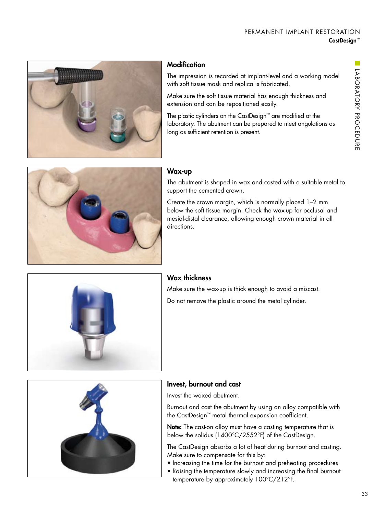

#### **Modification**

The impression is recorded at implant-level and a working model with soft tissue mask and replica is fabricated.

Make sure the soft tissue material has enough thickness and extension and can be repositioned easily.

The plastic cylinders on the CastDesign™ are modified at the laboratory. The abutment can be prepared to meet angulations as long as sufficient retention is present.



#### Wax-up

The abutment is shaped in wax and casted with a suitable metal to support the cemented crown.

Create the crown margin, which is normally placed 1–2 mm below the soft tissue margin. Check the wax-up for occlusal and mesial-distal clearance, allowing enough crown material in all directions.



#### Wax thickness

Make sure the wax-up is thick enough to avoid a miscast. Do not remove the plastic around the metal cylinder.



#### Invest, burnout and cast

Invest the waxed abutment.

Burnout and cast the abutment by using an alloy compatible with the CastDesign™ metal thermal expansion coefficient.

Note: The cast-on alloy must have a casting temperature that is below the solidus (1400°C/2552°F) of the CastDesign.

The CastDesign absorbs a lot of heat during burnout and casting. Make sure to compensate for this by:

- Increasing the time for the burnout and preheating procedures
- Raising the temperature slowly and increasing the final burnout temperature by approximately 100°C/212°F.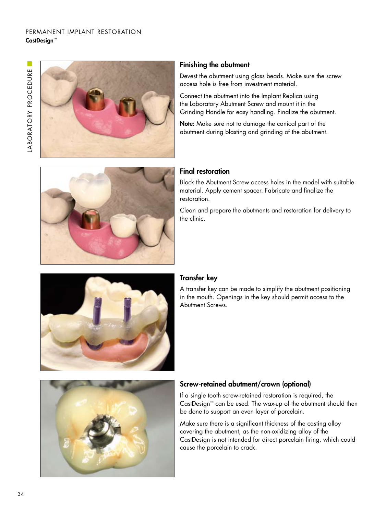#### permanent implant restoration CastDesign™



#### Finishing the abutment

Devest the abutment using glass beads. Make sure the screw access hole is free from investment material.

Connect the abutment into the Implant Replica using the Laboratory Abutment Screw and mount it in the Grinding Handle for easy handling. Finalize the abutment.

Note: Make sure not to damage the conical part of the abutment during blasting and grinding of the abutment.



#### Final restoration

Block the Abutment Screw access holes in the model with suitable material. Apply cement spacer. Fabricate and finalize the restoration.

Clean and prepare the abutments and restoration for delivery to the clinic.



#### Transfer key

A transfer key can be made to simplify the abutment positioning in the mouth. Openings in the key should permit access to the Abutment Screws.



#### Screw-retained abutment/crown (optional)

If a single tooth screw-retained restoration is required, the CastDesign™ can be used. The wax-up of the abutment should then be done to support an even layer of porcelain.

Make sure there is a significant thickness of the casting alloy covering the abutment, as the non-oxidizing alloy of the CastDesign is not intended for direct porcelain firing, which could cause the porcelain to crack.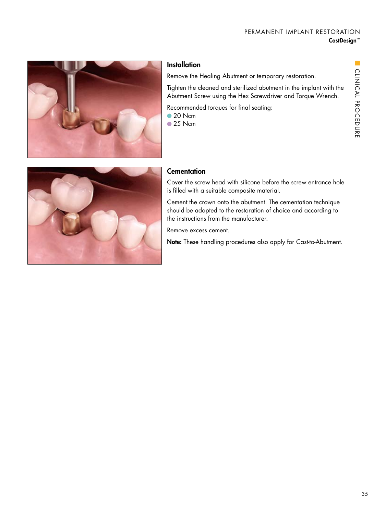#### permanent implant restoration CastDesign™



#### **Installation**

Remove the Healing Abutment or temporary restoration.

Tighten the cleaned and sterilized abutment in the implant with the Abutment Screw using the Hex Screwdriver and Torque Wrench.

Recommended torques for final seating:

• 20 Ncm

• 25 Ncm



#### **Cementation**

Cover the screw head with silicone before the screw entrance hole is filled with a suitable composite material.

Cement the crown onto the abutment. The cementation technique should be adapted to the restoration of choice and according to the instructions from the manufacturer.

Remove excess cement.

Note: These handling procedures also apply for Cast-to-Abutment.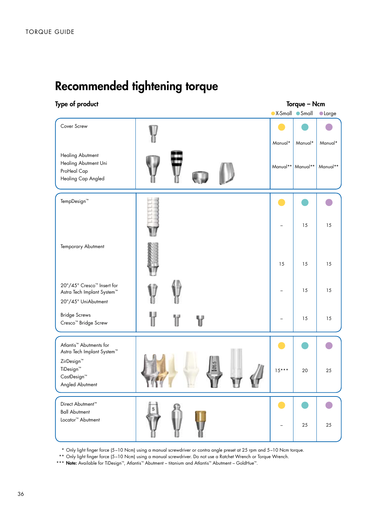### Recommended tightening torque

Type of product Torque – Ncm

| $.7$ pc or product                                                                   |   |   |   |  |                   |          |              |
|--------------------------------------------------------------------------------------|---|---|---|--|-------------------|----------|--------------|
|                                                                                      |   |   |   |  | ● X-Small ● Small |          | <b>Large</b> |
| Cover Screw                                                                          |   |   |   |  | Manual*           | Manual*  | Manual*      |
| <b>Healing Abutment</b><br>Healing Abutment Uni<br>ProHeal Cap<br>Healing Cap Angled |   |   |   |  | Manual**          | Manual** | Manual**     |
| TempDesign™                                                                          |   |   |   |  |                   | 15       | 15           |
| Temporary Abutment                                                                   |   |   |   |  | 15                | 15       | 15           |
| 20°/45° Cresco™ Insert for<br>Astra Tech Implant System™<br>20°/45° UniAbutment      |   |   |   |  |                   | 15       | 15           |
| <b>Bridge Screws</b><br>Cresco <sup>™</sup> Bridge Screw                             | I | ï | V |  |                   | 15       | 15           |
| Atlantis <sup>™</sup> Abutments for<br>Astra Tech Implant System™<br>ZirDesign™      |   |   |   |  |                   |          |              |
| TiDesign™<br>CastDesign™<br>Angled Abutment                                          |   |   |   |  | $15***$           | 20       | 25           |
| Direct Abutment™<br><b>Ball Abutment</b><br>Locator <sup>™</sup> Abutment            |   |   |   |  |                   |          |              |
|                                                                                      |   |   |   |  |                   | 25       | 25           |

\* Only light finger force (5–10 Ncm) using a manual screwdriver or contra angle preset at 25 rpm and 5–10 Ncm torque.

\*\* Only light finger force (5–10 Ncm) using a manual screwdriver. Do not use a Ratchet Wrench or Torque Wrench.

\*\*\* Note: Available for TiDesign™, Atlantis™ Abutment – titanium and Atlantis™ Abutment – GoldHue™.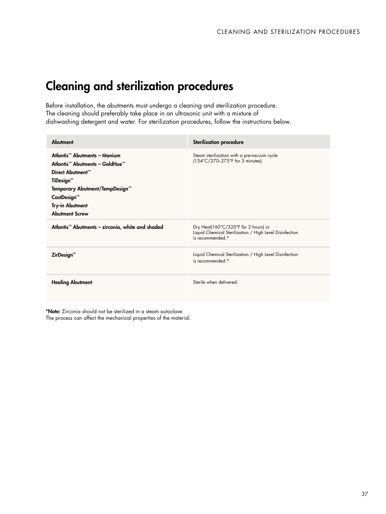### Cleaning and sterilization procedures

Before installation, the abutments must undergo a cleaning and sterilization procedure. The cleaning should preferably take place in an ultrasonic unit with a mixture of dishwashing detergent and water. For sterilization procedures, follow the instructions below.

| Abutment                                                                                                                                                                                                               | <b>Sterilization procedure</b>                                                                                      |
|------------------------------------------------------------------------------------------------------------------------------------------------------------------------------------------------------------------------|---------------------------------------------------------------------------------------------------------------------|
| Atlantis <sup>™</sup> Abutments - titanium<br>Atlantis <sup>™</sup> Abutments - GoldHue™<br>Direct Abutment™<br>TiDesign™<br>Temporary Abutment/TempDesign™<br>CastDesign™<br>Try-in Abutment<br><b>Abutment Screw</b> | Steam sterilization with a pre-vacuum cycle<br>(134°C/270-275°F for 3 minutes).                                     |
| Atlantis <sup>™</sup> Abutments – zirconia, white and shaded                                                                                                                                                           | Dry Heat(160°C/320°F for 2 hours) or<br>Liquid Chemical Sterilization / High Level Disinfection<br>is recommended.* |
| ZirDesign™                                                                                                                                                                                                             | Liquid Chemical Sterilization / High Level Disinfection<br>is recommended.*                                         |
| <b>Healing Abutment</b>                                                                                                                                                                                                | Sterile when delivered                                                                                              |

\*Note: Zirconia should not be sterilized in a steam autoclave. The process can affect the mechanical properties of the material.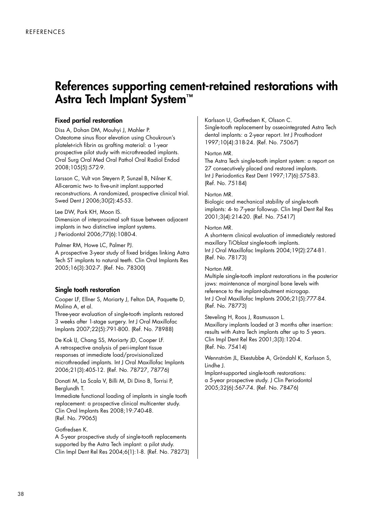### References supporting cement-retained restorations with Astra Tech Implant System™

#### Fixed partial restoration

Diss A, Dohan DM, Mouhyi J, Mahler P. Osteotome sinus floor elevation using Choukroun's platelet-rich fibrin as grafting material: a 1-year prospective pilot study with microthreaded implants. Oral Surg Oral Med Oral Pathol Oral Radiol Endod 2008;105(5):572-9.

Larsson C, Vult von Steyern P, Sunzel B, Nilner K. All-ceramic two- to five-unit implant.supported reconstructions. A randomized, prospective clinical trial. Swed Dent J 2006;30(2):45-53.

Lee DW, Park KH, Moon IS. Dimension of interproximal soft tissue between adjacent implants in two distinctive implant systems. J Periodontol 2006;77(6):1080-4.

Palmer RM, Howe LC, Palmer PJ.

A prospective 3-year study of fixed bridges linking Astra Tech ST implants to natural teeth. Clin Oral Implants Res 2005;16(3):302-7. (Ref. No. 78300)

#### Single tooth restoration

Cooper LF, Ellner S, Moriarty J, Felton DA, Paquette D, Molina A, et al.

Three-year evaluation of single-tooth implants restored 3 weeks after 1-stage surgery. Int J Oral Maxillofac Implants 2007;22(5):791-800. (Ref. No. 78988)

De Kok IJ, Chang SS, Moriarty JD, Cooper LF. A retrospective analysis of peri-implant tissue responses at immediate load/provisionalized microthreaded implants. Int J Oral Maxillofac Implants 2006;21(3):405-12. (Ref. No. 78727, 78776)

Donati M, La Scala V, Billi M, Di Dino B, Torrisi P, Berglundh T. Immediate functional loading of implants in single tooth replacement: a prospective clinical multicenter study. Clin Oral Implants Res 2008;19:740-48. (Ref. No. 79065)

#### Gotfredsen K.

A 5-year prospective study of single-tooth replacements supported by the Astra Tech implant: a pilot study. Clin Impl Dent Rel Res 2004;6(1):1-8. (Ref. No. 78273)

#### Karlsson U, Gotfredsen K, Olsson C.

Single-tooth replacement by osseointegrated Astra Tech dental implants: a 2-year report. Int J Prosthodont 1997;10(4):318-24. (Ref. No. 75067)

#### Norton MR.

The Astra Tech single-tooth implant system: a report on 27 consecutively placed and restored implants. Int J Periodontics Rest Dent 1997;17(6):575-83. (Ref. No. 75184)

#### Norton MR.

Biologic and mechanical stability of single-tooth implants: 4- to 7-year followup. Clin Impl Dent Rel Res 2001;3(4):214-20. (Ref. No. 75417)

#### Norton MR.

A short-term clinical evaluation of immediately restored maxillary TiOblast single-tooth implants. Int J Oral Maxillofac Implants 2004;19(2):274-81. (Ref. No. 78173)

#### Norton MR.

Multiple single-tooth implant restorations in the posterior jaws: maintenance of marginal bone levels with reference to the implant-abutment microgap. Int J Oral Maxillofac Implants 2006;21(5):777-84. (Ref. No. 78773)

Steveling H, Roos J, Rasmusson L.

Maxillary implants loaded at 3 months after insertion: results with Astra Tech implants after up to 5 years. Clin Impl Dent Rel Res 2001;3(3):120-4. (Ref. No. 75414)

Wennström JL, Ekestubbe A, Gröndahl K, Karlsson S, Lindhe J.

Implant-supported single-tooth restorations: a 5-year prospective study. J Clin Periodontol 2005;32(6):567-74. (Ref. No. 78476)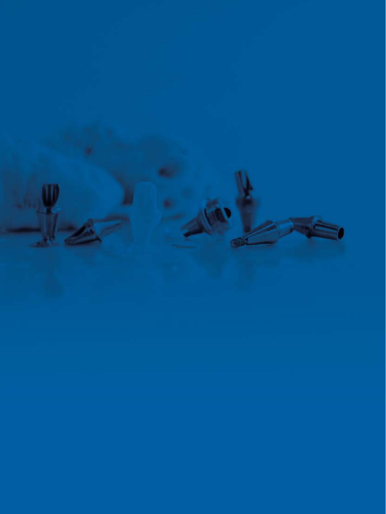